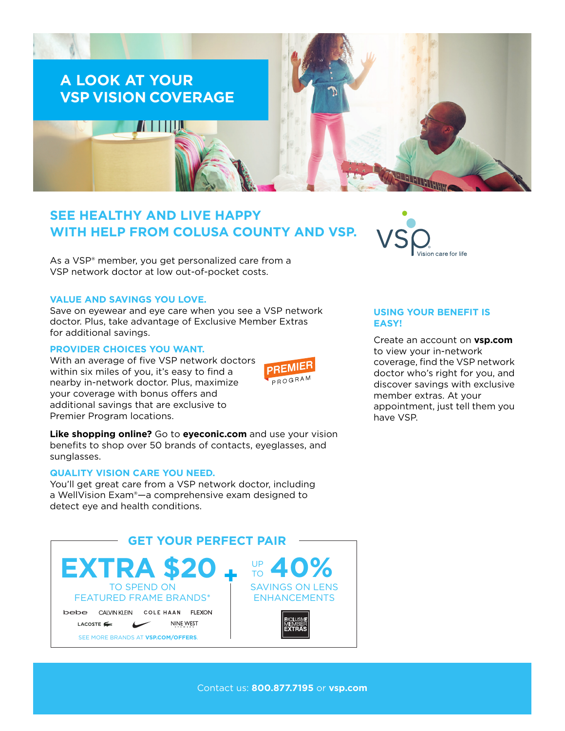

# **SEE HEALTHY AND LIVE HAPPY WITH HELP FROM COLUSA COUNTY AND VSP.**

As a VSP® member, you get personalized care from a VSP network doctor at low out-of-pocket costs.

#### **VALUE AND SAVINGS YOU LOVE.**

Save on eyewear and eye care when you see a VSP network doctor. Plus, take advantage of Exclusive Member Extras for additional savings.

#### **PROVIDER CHOICES YOU WANT.**

With an average of five VSP network doctors within six miles of you, it's easy to find a nearby in-network doctor. Plus, maximize your coverage with bonus offers and additional savings that are exclusive to Premier Program locations.



**Like shopping online?** Go to **eyeconic.com** and use your vision benefits to shop over 50 brands of contacts, eyeglasses, and sunglasses.

# **QUALITY VISION CARE YOU NEED.**

You'll get great care from a VSP network doctor, including a WellVision Exam®—a comprehensive exam designed to detect eye and health conditions.





### **USING YOUR BENEFIT IS EASY!**

Create an account on **vsp.com** to view your in-network coverage, find the VSP network doctor who's right for you, and discover savings with exclusive member extras. At your appointment, just tell them you have VSP.